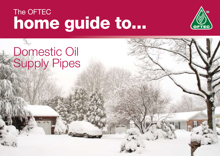# home guide to... The OFTEC



# Domestic Oil Supply Pipes

 $\mathbf{d}$  is  $\mathbf{d}$  if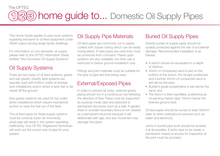#### The OFTEC home guide to... Domestic Oil Supply Pipes 128

This Home Guide applies to pipe work systems supplying kerosene to oil fired equipment under 45kW output serving single family dwellings.

For information on non-domestic oil supply, please refer to the OFTEC Information Sheet entitled "Non-Domestic Oil Supply Systems".

## Oil Supply Systems

There are two types of oil feed systems; gravity and sub-gravity. Gravity feed systems are typically used with bottom outlet oil storage tank installations and/or where a tank has to be raised off the ground.

Sub-gravity systems are used for top outlet tanks installations which require mechanical suction to raise the fuel out of the tank.

The oil feed pipes for these supply systems must be correctly sized. An incorrectly sized pipe will result in the system operating inefficiently. Your OFTEC Registered Technician will work out the correct size of pipe for your system.

#### Oil Supply Pipe Materials

Oil feed pipes are commonly run in plastic coated soft copper tubing which can be easily manipulated. If steel pipes are used they must be protected from corrosion. Plastic pipe systems are also available, but their use is restricted to below ground installation only.

Fittings and joint materials must be suitable for the type of pipe and fuel being used.

#### External/Exposed Pipes

In order to prevent air locks, external gravity piping should run in a continuous rise following the direction of flow. Pipes must be supported by purpose made clips and attached to permanent structures such as a wall. A garden shed or wooden boundary fence is not classed as a permanent structure because it will deteriorate with age, and any movement may damage the pipes.

#### Buried Oil Supply Pipes

Directly buried oil supply pipes should be suitably protected against the risk of accidental damage. Recommended installation is as follows:

- A trench should be excavated to a depth of 450mm;
- 40mm of compacted sand is laid on the bottom of the trench, the oil pipe positioned, and a further 40mm of compacted sand is laid above the pipe;
- Builder's grade polyethylene is laid above the sand; and
- The trench is then backfilled, positioning an oil warning marker tape 150mm below the finished ground level.

Oil feed pipes should be buried at least 300mm clear of other underground services such as water and electricity.

Joints in buried pipe work should be avoided if at all possible. If joints have to be made, a permanent means of access for inspection of the joint must be provided.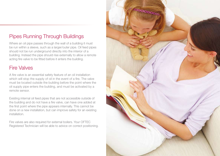## Pipes Running Through Buildings

Where an oil pipe passes through the wall of a building it must be run within a sleeve, such as a larger/outer pipe. Oil feed pipes should not be run underground directly into the interior of a building. Instead the pipe should rise externally to allow a remote acting fire valve to be fitted before it enters the building.

### Fire Valves

A fire valve is an essential safety feature of an oil installation which will stop the supply of oil in the event of a fire. The valve must be located outside the building before the point where the oil supply pipe enters the building, and must be activated by a remote sensor.

Existing internal oil feed pipes that are not accessible outside of the building and do not have a fire valve, can have one added at the first point where the pipe appears internally. This cannot be done on a new installation, but can improve safety for an existing installation.

Fire valves are also required for external boilers. Your OFTEC Registered Technician will be able to advice on correct positioning.